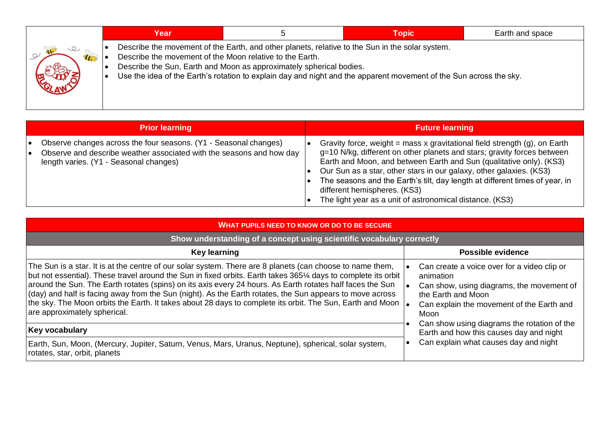|             | Year                                                     |                                                                                                                                                                                                                                                                                              | <b>Topic</b> | Earth and space |
|-------------|----------------------------------------------------------|----------------------------------------------------------------------------------------------------------------------------------------------------------------------------------------------------------------------------------------------------------------------------------------------|--------------|-----------------|
| $\sqrt{10}$ | Describe the movement of the Moon relative to the Earth. | Describe the movement of the Earth, and other planets, relative to the Sun in the solar system.<br>Describe the Sun, Earth and Moon as approximately spherical bodies.<br>Use the idea of the Earth's rotation to explain day and night and the apparent movement of the Sun across the sky. |              |                 |

|                 | <b>Prior learning</b>                                                                                                                                                              | <b>Future learning</b>                                                                                                                                                                                                                                                                                                                                                                                                                                                           |
|-----------------|------------------------------------------------------------------------------------------------------------------------------------------------------------------------------------|----------------------------------------------------------------------------------------------------------------------------------------------------------------------------------------------------------------------------------------------------------------------------------------------------------------------------------------------------------------------------------------------------------------------------------------------------------------------------------|
| $\bullet$<br>I۰ | Observe changes across the four seasons. (Y1 - Seasonal changes)<br>Observe and describe weather associated with the seasons and how day<br>length varies. (Y1 - Seasonal changes) | Gravity force, weight = mass x gravitational field strength $(g)$ , on Earth<br>g=10 N/kg, different on other planets and stars; gravity forces between<br>Earth and Moon, and between Earth and Sun (qualitative only). (KS3)<br>Our Sun as a star, other stars in our galaxy, other galaxies. (KS3)<br>The seasons and the Earth's tilt, day length at different times of year, in<br>different hemispheres. (KS3)<br>The light year as a unit of astronomical distance. (KS3) |

| <b>WHAT PUPILS NEED TO KNOW OR DO TO BE SECURE.</b>                                                                                                                                                                                                                                                                                                                                                                                                                                                                                                                                                     |                                                                                                                                                                                  |  |  |  |  |  |  |
|---------------------------------------------------------------------------------------------------------------------------------------------------------------------------------------------------------------------------------------------------------------------------------------------------------------------------------------------------------------------------------------------------------------------------------------------------------------------------------------------------------------------------------------------------------------------------------------------------------|----------------------------------------------------------------------------------------------------------------------------------------------------------------------------------|--|--|--|--|--|--|
| Show understanding of a concept using scientific vocabulary correctly                                                                                                                                                                                                                                                                                                                                                                                                                                                                                                                                   |                                                                                                                                                                                  |  |  |  |  |  |  |
| <b>Key learning</b>                                                                                                                                                                                                                                                                                                                                                                                                                                                                                                                                                                                     | <b>Possible evidence</b>                                                                                                                                                         |  |  |  |  |  |  |
| The Sun is a star. It is at the centre of our solar system. There are 8 planets (can choose to name them,<br>but not essential). These travel around the Sun in fixed orbits. Earth takes 365¼ days to complete its orbit<br>around the Sun. The Earth rotates (spins) on its axis every 24 hours. As Earth rotates half faces the Sun<br>$\vert$ (day) and half is facing away from the Sun (night). As the Earth rotates, the Sun appears to move across<br>the sky. The Moon orbits the Earth. It takes about 28 days to complete its orbit. The Sun, Earth and Moon<br>are approximately spherical. | Can create a voice over for a video clip or<br>animation<br>Can show, using diagrams, the movement of<br>the Earth and Moon<br>Can explain the movement of the Earth and<br>Moon |  |  |  |  |  |  |
| Key vocabulary                                                                                                                                                                                                                                                                                                                                                                                                                                                                                                                                                                                          | Can show using diagrams the rotation of the<br>Earth and how this causes day and night<br>Can explain what causes day and night                                                  |  |  |  |  |  |  |
| Earth, Sun, Moon, (Mercury, Jupiter, Saturn, Venus, Mars, Uranus, Neptune), spherical, solar system,<br>rotates, star, orbit, planets                                                                                                                                                                                                                                                                                                                                                                                                                                                                   |                                                                                                                                                                                  |  |  |  |  |  |  |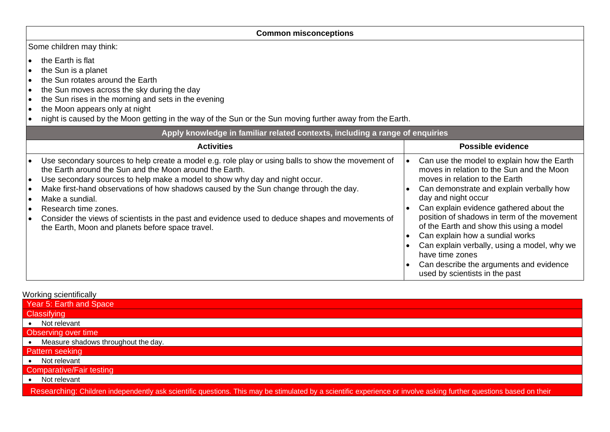| <b>Common misconceptions</b>                                                                                                                                                                                                                                                                                                                                                                                                                                                                                                                                                                               |                                                                                                                                                                                                                                                                                                                                                                                                                                                                                                                      |  |  |  |  |
|------------------------------------------------------------------------------------------------------------------------------------------------------------------------------------------------------------------------------------------------------------------------------------------------------------------------------------------------------------------------------------------------------------------------------------------------------------------------------------------------------------------------------------------------------------------------------------------------------------|----------------------------------------------------------------------------------------------------------------------------------------------------------------------------------------------------------------------------------------------------------------------------------------------------------------------------------------------------------------------------------------------------------------------------------------------------------------------------------------------------------------------|--|--|--|--|
| Some children may think:                                                                                                                                                                                                                                                                                                                                                                                                                                                                                                                                                                                   |                                                                                                                                                                                                                                                                                                                                                                                                                                                                                                                      |  |  |  |  |
| the Earth is flat<br>$\bullet$<br>the Sun is a planet<br>the Sun rotates around the Earth<br>l e<br>the Sun moves across the sky during the day<br>$\bullet$<br>the Sun rises in the morning and sets in the evening<br>$\bullet$<br>the Moon appears only at night<br>$\bullet$<br>night is caused by the Moon getting in the way of the Sun or the Sun moving further away from the Earth.                                                                                                                                                                                                               |                                                                                                                                                                                                                                                                                                                                                                                                                                                                                                                      |  |  |  |  |
| Apply knowledge in familiar related contexts, including a range of enquiries                                                                                                                                                                                                                                                                                                                                                                                                                                                                                                                               |                                                                                                                                                                                                                                                                                                                                                                                                                                                                                                                      |  |  |  |  |
| <b>Activities</b>                                                                                                                                                                                                                                                                                                                                                                                                                                                                                                                                                                                          | Possible evidence                                                                                                                                                                                                                                                                                                                                                                                                                                                                                                    |  |  |  |  |
| Use secondary sources to help create a model e.g. role play or using balls to show the movement of<br>$\bullet$<br>the Earth around the Sun and the Moon around the Earth.<br>Use secondary sources to help make a model to show why day and night occur.<br>l e i<br>Make first-hand observations of how shadows caused by the Sun change through the day.<br>$\bullet$<br>Make a sundial.<br>l e i<br>Research time zones.<br>$\bullet$<br>Consider the views of scientists in the past and evidence used to deduce shapes and movements of<br>l e i<br>the Earth, Moon and planets before space travel. | Can use the model to explain how the Earth<br>moves in relation to the Sun and the Moon<br>moves in relation to the Earth<br>Can demonstrate and explain verbally how<br>day and night occur<br>Can explain evidence gathered about the<br>position of shadows in term of the movement<br>of the Earth and show this using a model<br>Can explain how a sundial works<br>Can explain verbally, using a model, why we<br>have time zones<br>Can describe the arguments and evidence<br>used by scientists in the past |  |  |  |  |

Working scientifically

| Year 5: Earth and Space                                                                                                                                            |
|--------------------------------------------------------------------------------------------------------------------------------------------------------------------|
| <b>Classifying</b>                                                                                                                                                 |
| Not relevant                                                                                                                                                       |
| Observing over time                                                                                                                                                |
| Measure shadows throughout the day.                                                                                                                                |
| Pattern seeking                                                                                                                                                    |
| • Not relevant                                                                                                                                                     |
| <b>Comparative/Fair testing</b>                                                                                                                                    |
| Not relevant                                                                                                                                                       |
| Researching: Children independently ask scientific questions. This may be stimulated by a scientific experience or involve asking further questions based on their |